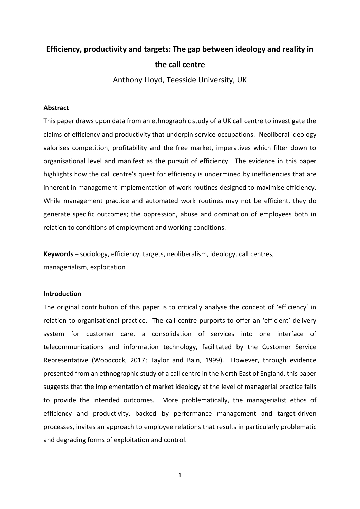# **Efficiency, productivity and targets: The gap between ideology and reality in the call centre**

Anthony Lloyd, Teesside University, UK

### **Abstract**

This paper draws upon data from an ethnographic study of a UK call centre to investigate the claims of efficiency and productivity that underpin service occupations. Neoliberal ideology valorises competition, profitability and the free market, imperatives which filter down to organisational level and manifest as the pursuit of efficiency. The evidence in this paper highlights how the call centre's quest for efficiency is undermined by inefficiencies that are inherent in management implementation of work routines designed to maximise efficiency. While management practice and automated work routines may not be efficient, they do generate specific outcomes; the oppression, abuse and domination of employees both in relation to conditions of employment and working conditions.

**Keywords** – sociology, efficiency, targets, neoliberalism, ideology, call centres, managerialism, exploitation

# **Introduction**

The original contribution of this paper is to critically analyse the concept of 'efficiency' in relation to organisational practice. The call centre purports to offer an 'efficient' delivery system for customer care, a consolidation of services into one interface of telecommunications and information technology, facilitated by the Customer Service Representative (Woodcock, 2017; Taylor and Bain, 1999). However, through evidence presented from an ethnographic study of a call centre in the North East of England, this paper suggests that the implementation of market ideology at the level of managerial practice fails to provide the intended outcomes. More problematically, the managerialist ethos of efficiency and productivity, backed by performance management and target-driven processes, invites an approach to employee relations that results in particularly problematic and degrading forms of exploitation and control.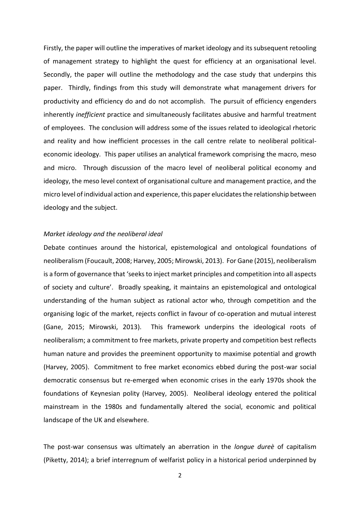Firstly, the paper will outline the imperatives of market ideology and its subsequent retooling of management strategy to highlight the quest for efficiency at an organisational level. Secondly, the paper will outline the methodology and the case study that underpins this paper. Thirdly, findings from this study will demonstrate what management drivers for productivity and efficiency do and do not accomplish. The pursuit of efficiency engenders inherently *inefficient* practice and simultaneously facilitates abusive and harmful treatment of employees. The conclusion will address some of the issues related to ideological rhetoric and reality and how inefficient processes in the call centre relate to neoliberal politicaleconomic ideology. This paper utilises an analytical framework comprising the macro, meso and micro. Through discussion of the macro level of neoliberal political economy and ideology, the meso level context of organisational culture and management practice, and the micro level of individual action and experience, this paper elucidates the relationship between ideology and the subject.

## *Market ideology and the neoliberal ideal*

Debate continues around the historical, epistemological and ontological foundations of neoliberalism (Foucault, 2008; Harvey, 2005; Mirowski, 2013). For Gane (2015), neoliberalism is a form of governance that 'seeks to inject market principles and competition into all aspects of society and culture'. Broadly speaking, it maintains an epistemological and ontological understanding of the human subject as rational actor who, through competition and the organising logic of the market, rejects conflict in favour of co-operation and mutual interest (Gane, 2015; Mirowski, 2013). This framework underpins the ideological roots of neoliberalism; a commitment to free markets, private property and competition best reflects human nature and provides the preeminent opportunity to maximise potential and growth (Harvey, 2005). Commitment to free market economics ebbed during the post-war social democratic consensus but re-emerged when economic crises in the early 1970s shook the foundations of Keynesian polity (Harvey, 2005). Neoliberal ideology entered the political mainstream in the 1980s and fundamentally altered the social, economic and political landscape of the UK and elsewhere.

The post-war consensus was ultimately an aberration in the *longue dureè* of capitalism (Piketty, 2014); a brief interregnum of welfarist policy in a historical period underpinned by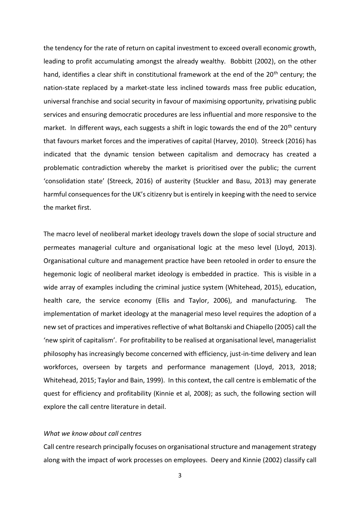the tendency for the rate of return on capital investment to exceed overall economic growth, leading to profit accumulating amongst the already wealthy. Bobbitt (2002), on the other hand, identifies a clear shift in constitutional framework at the end of the 20<sup>th</sup> century; the nation-state replaced by a market-state less inclined towards mass free public education, universal franchise and social security in favour of maximising opportunity, privatising public services and ensuring democratic procedures are less influential and more responsive to the market. In different ways, each suggests a shift in logic towards the end of the 20<sup>th</sup> century that favours market forces and the imperatives of capital (Harvey, 2010). Streeck (2016) has indicated that the dynamic tension between capitalism and democracy has created a problematic contradiction whereby the market is prioritised over the public; the current 'consolidation state' (Streeck, 2016) of austerity (Stuckler and Basu, 2013) may generate harmful consequences for the UK's citizenry but is entirely in keeping with the need to service the market first.

The macro level of neoliberal market ideology travels down the slope of social structure and permeates managerial culture and organisational logic at the meso level (Lloyd, 2013). Organisational culture and management practice have been retooled in order to ensure the hegemonic logic of neoliberal market ideology is embedded in practice. This is visible in a wide array of examples including the criminal justice system (Whitehead, 2015), education, health care, the service economy (Ellis and Taylor, 2006), and manufacturing. The implementation of market ideology at the managerial meso level requires the adoption of a new set of practices and imperatives reflective of what Boltanski and Chiapello (2005) call the 'new spirit of capitalism'. For profitability to be realised at organisational level, managerialist philosophy has increasingly become concerned with efficiency, just-in-time delivery and lean workforces, overseen by targets and performance management (Lloyd, 2013, 2018; Whitehead, 2015; Taylor and Bain, 1999). In this context, the call centre is emblematic of the quest for efficiency and profitability (Kinnie et al, 2008); as such, the following section will explore the call centre literature in detail.

# *What we know about call centres*

Call centre research principally focuses on organisational structure and management strategy along with the impact of work processes on employees. Deery and Kinnie (2002) classify call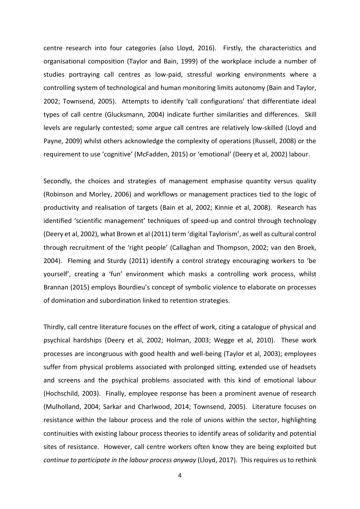centre research into four categories (also Lloyd, 2016). Firstly, the characteristics and organisational composition (Taylor and Bain, 1999) of the workplace include a number of studies portraying call centres as low-paid, stressful working environments where a controlling system of technological and human monitoring limits autonomy (Bain and Taylor, 2002; Townsend, 2005). Attempts to identify 'call configurations' that differentiate ideal types of call centre (Glucksmann, 2004) indicate further similarities and differences. Skill levels are regularly contested; some argue call centres are relatively low-skilled (Lloyd and Payne, 2009) whilst others acknowledge the complexity of operations (Russell, 2008) or the requirement to use 'cognitive' (McFadden, 2015) or 'emotional' (Deery et al, 2002) labour.

Secondly, the choices and strategies of management emphasise quantity versus quality (Robinson and Morley, 2006) and workflows or management practices tied to the logic of productivity and realisation of targets (Bain et al, 2002; Kinnie et al, 2008). Research has identified 'scientific management' techniques of speed-up and control through technology (Deery et al, 2002), what Brown et al (2011) term 'digital Taylorism', as well as cultural control through recruitment of the 'right people' (Callaghan and Thompson, 2002; van den Broek, 2004). Fleming and Sturdy (2011) identify a control strategy encouraging workers to 'be yourself', creating a 'fun' environment which masks a controlling work process, whilst Brannan (2015) employs Bourdieu's concept of symbolic violence to elaborate on processes of domination and subordination linked to retention strategies.

Thirdly, call centre literature focuses on the effect of work, citing a catalogue of physical and psychical hardships (Deery et al, 2002; Holman, 2003; Wegge et al, 2010). These work processes are incongruous with good health and well-being (Taylor et al, 2003); employees suffer from physical problems associated with prolonged sitting, extended use of headsets and screens and the psychical problems associated with this kind of emotional labour (Hochschild, 2003). Finally, employee response has been a prominent avenue of research (Mulholland, 2004; Sarkar and Charlwood, 2014; Townsend, 2005). Literature focuses on resistance within the labour process and the role of unions within the sector, highlighting continuities with existing labour process theories to identify areas of solidarity and potential sites of resistance. However, call centre workers often know they are being exploited but *continue to participate in the labour process anyway* (Lloyd, 2017). This requires us to rethink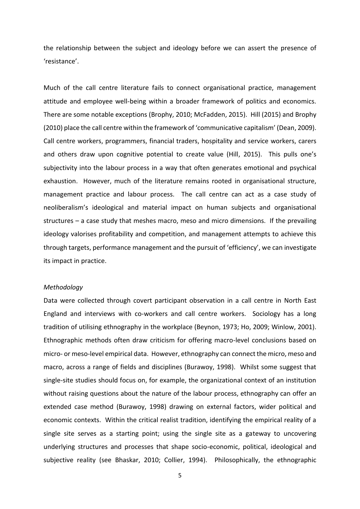the relationship between the subject and ideology before we can assert the presence of 'resistance'.

Much of the call centre literature fails to connect organisational practice, management attitude and employee well-being within a broader framework of politics and economics. There are some notable exceptions (Brophy, 2010; McFadden, 2015). Hill (2015) and Brophy (2010) place the call centre within the framework of 'communicative capitalism' (Dean, 2009). Call centre workers, programmers, financial traders, hospitality and service workers, carers and others draw upon cognitive potential to create value (Hill, 2015). This pulls one's subjectivity into the labour process in a way that often generates emotional and psychical exhaustion. However, much of the literature remains rooted in organisational structure, management practice and labour process. The call centre can act as a case study of neoliberalism's ideological and material impact on human subjects and organisational structures – a case study that meshes macro, meso and micro dimensions. If the prevailing ideology valorises profitability and competition, and management attempts to achieve this through targets, performance management and the pursuit of 'efficiency', we can investigate its impact in practice.

# *Methodology*

Data were collected through covert participant observation in a call centre in North East England and interviews with co-workers and call centre workers. Sociology has a long tradition of utilising ethnography in the workplace (Beynon, 1973; Ho, 2009; Winlow, 2001). Ethnographic methods often draw criticism for offering macro-level conclusions based on micro- or meso-level empirical data. However, ethnography can connect the micro, meso and macro, across a range of fields and disciplines (Burawoy, 1998). Whilst some suggest that single-site studies should focus on, for example, the organizational context of an institution without raising questions about the nature of the labour process, ethnography can offer an extended case method (Burawoy, 1998) drawing on external factors, wider political and economic contexts. Within the critical realist tradition, identifying the empirical reality of a single site serves as a starting point; using the single site as a gateway to uncovering underlying structures and processes that shape socio-economic, political, ideological and subjective reality (see Bhaskar, 2010; Collier, 1994). Philosophically, the ethnographic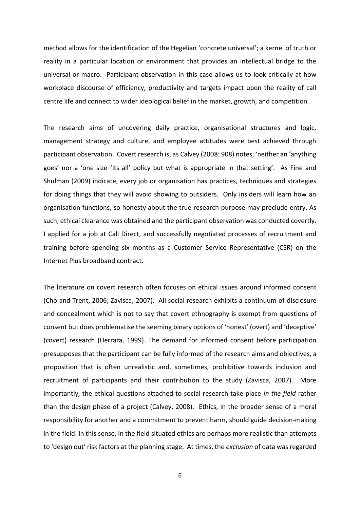method allows for the identification of the Hegelian 'concrete universal'; a kernel of truth or reality in a particular location or environment that provides an intellectual bridge to the universal or macro. Participant observation in this case allows us to look critically at how workplace discourse of efficiency, productivity and targets impact upon the reality of call centre life and connect to wider ideological belief in the market, growth, and competition.

The research aims of uncovering daily practice, organisational structures and logic, management strategy and culture, and employee attitudes were best achieved through participant observation. Covert research is, as Calvey (2008: 908) notes, 'neither an 'anything goes' nor a 'one size fits all' policy but what is appropriate in that setting'. As Fine and Shulman (2009) indicate, every job or organisation has practices, techniques and strategies for doing things that they will avoid showing to outsiders. Only insiders will learn how an organisation functions, so honesty about the true research purpose may preclude entry. As such, ethical clearance was obtained and the participant observation was conducted covertly. I applied for a job at Call Direct, and successfully negotiated processes of recruitment and training before spending six months as a Customer Service Representative (CSR) on the Internet Plus broadband contract.

The literature on covert research often focuses on ethical issues around informed consent (Cho and Trent, 2006; Zavisca, 2007). All social research exhibits a continuum of disclosure and concealment which is not to say that covert ethnography is exempt from questions of consent but does problematise the seeming binary options of 'honest' (overt) and 'deceptive' (covert) research (Herrara, 1999). The demand for informed consent before participation presupposes that the participant can be fully informed of the research aims and objectives, a proposition that is often unrealistic and, sometimes, prohibitive towards inclusion and recruitment of participants and their contribution to the study (Zavisca, 2007). More importantly, the ethical questions attached to social research take place *in the field* rather than the design phase of a project (Calvey, 2008). Ethics, in the broader sense of a moral responsibility for another and a commitment to prevent harm, should guide decision-making in the field. In this sense, in the field situated ethics are perhaps more realistic than attempts to 'design out' risk factors at the planning stage. At times, the *exclusion* of data was regarded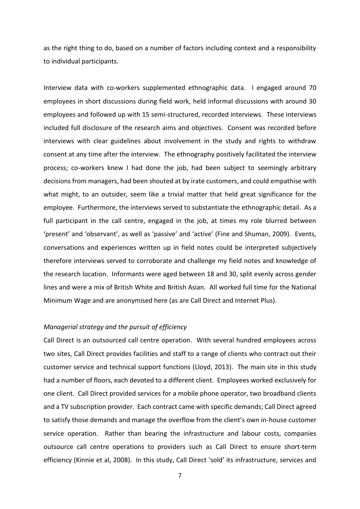as the right thing to do, based on a number of factors including context and a responsibility to individual participants.

Interview data with co-workers supplemented ethnographic data. I engaged around 70 employees in short discussions during field work, held informal discussions with around 30 employees and followed up with 15 semi-structured, recorded interviews. These interviews included full disclosure of the research aims and objectives. Consent was recorded before interviews with clear guidelines about involvement in the study and rights to withdraw consent at any time after the interview. The ethnography positively facilitated the interview process; co-workers knew I had done the job, had been subject to seemingly arbitrary decisions from managers, had been shouted at by irate customers, and could empathise with what might, to an outsider, seem like a trivial matter that held great significance for the employee. Furthermore, the interviews served to substantiate the ethnographic detail. As a full participant in the call centre, engaged in the job, at times my role blurred between 'present' and 'observant', as well as 'passive' and 'active' (Fine and Shuman, 2009). Events, conversations and experiences written up in field notes could be interpreted subjectively therefore interviews served to corroborate and challenge my field notes and knowledge of the research location. Informants were aged between 18 and 30, split evenly across gender lines and were a mix of British White and British Asian. All worked full time for the National Minimum Wage and are anonymised here (as are Call Direct and Internet Plus).

## *Managerial strategy and the pursuit of efficiency*

Call Direct is an outsourced call centre operation. With several hundred employees across two sites, Call Direct provides facilities and staff to a range of clients who contract out their customer service and technical support functions (Lloyd, 2013). The main site in this study had a number of floors, each devoted to a different client. Employees worked exclusively for one client. Call Direct provided services for a mobile phone operator, two broadband clients and a TV subscription provider. Each contract came with specific demands; Call Direct agreed to satisfy those demands and manage the overflow from the client's own in-house customer service operation. Rather than bearing the infrastructure and labour costs, companies outsource call centre operations to providers such as Call Direct to ensure short-term efficiency (Kinnie et al, 2008). In this study, Call Direct 'sold' its infrastructure, services and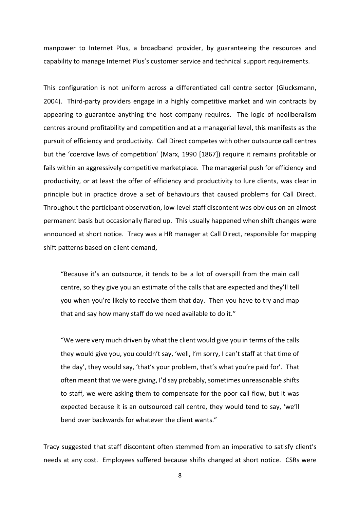manpower to Internet Plus, a broadband provider, by guaranteeing the resources and capability to manage Internet Plus's customer service and technical support requirements.

This configuration is not uniform across a differentiated call centre sector (Glucksmann, 2004). Third-party providers engage in a highly competitive market and win contracts by appearing to guarantee anything the host company requires. The logic of neoliberalism centres around profitability and competition and at a managerial level, this manifests as the pursuit of efficiency and productivity. Call Direct competes with other outsource call centres but the 'coercive laws of competition' (Marx, 1990 [1867]) require it remains profitable or fails within an aggressively competitive marketplace. The managerial push for efficiency and productivity, or at least the offer of efficiency and productivity to lure clients, was clear in principle but in practice drove a set of behaviours that caused problems for Call Direct. Throughout the participant observation, low-level staff discontent was obvious on an almost permanent basis but occasionally flared up. This usually happened when shift changes were announced at short notice. Tracy was a HR manager at Call Direct, responsible for mapping shift patterns based on client demand,

"Because it's an outsource, it tends to be a lot of overspill from the main call centre, so they give you an estimate of the calls that are expected and they'll tell you when you're likely to receive them that day. Then you have to try and map that and say how many staff do we need available to do it."

"We were very much driven by what the client would give you in terms of the calls they would give you, you couldn't say, 'well, I'm sorry, I can't staff at that time of the day', they would say, 'that's your problem, that's what you're paid for'. That often meant that we were giving, I'd say probably, sometimes unreasonable shifts to staff, we were asking them to compensate for the poor call flow, but it was expected because it is an outsourced call centre, they would tend to say, 'we'll bend over backwards for whatever the client wants."

Tracy suggested that staff discontent often stemmed from an imperative to satisfy client's needs at any cost. Employees suffered because shifts changed at short notice. CSRs were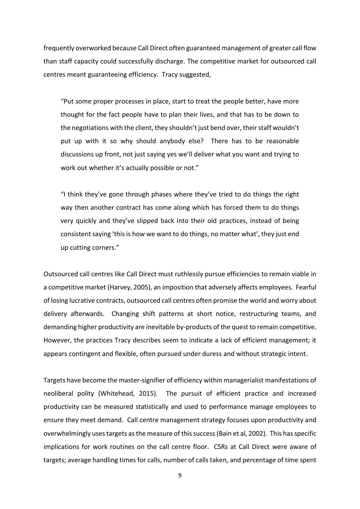frequently overworked because Call Direct often guaranteed management of greater call flow than staff capacity could successfully discharge. The competitive market for outsourced call centres meant guaranteeing efficiency. Tracy suggested,

"Put some proper processes in place, start to treat the people better, have more thought for the fact people have to plan their lives, and that has to be down to the negotiations with the client, they shouldn't just bend over, their staff wouldn't put up with it so why should anybody else? There has to be reasonable discussions up front, not just saying yes we'll deliver what you want and trying to work out whether it's actually possible or not."

"I think they've gone through phases where they've tried to do things the right way then another contract has come along which has forced them to do things very quickly and they've slipped back into their old practices, instead of being consistent saying 'this is how we want to do things, no matter what', they just end up cutting corners."

Outsourced call centres like Call Direct must ruthlessly pursue efficiencies to remain viable in a competitive market (Harvey, 2005), an imposition that adversely affects employees. Fearful of losing lucrative contracts, outsourced call centres often promise the world and worry about delivery afterwards. Changing shift patterns at short notice, restructuring teams, and demanding higher productivity are inevitable by-products of the quest to remain competitive. However, the practices Tracy describes seem to indicate a lack of efficient management; it appears contingent and flexible, often pursued under duress and without strategic intent.

Targets have become the master-signifier of efficiency within managerialist manifestations of neoliberal polity (Whitehead, 2015). The pursuit of efficient practice and increased productivity can be measured statistically and used to performance manage employees to ensure they meet demand. Call centre management strategy focuses upon productivity and overwhelmingly uses targets as the measure of this success (Bain et al, 2002). This has specific implications for work routines on the call centre floor. CSRs at Call Direct were aware of targets; average handling times for calls, number of calls taken, and percentage of time spent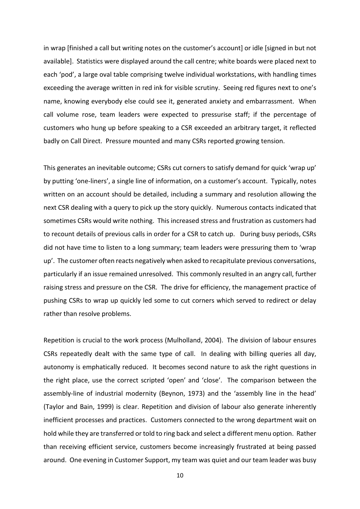in wrap [finished a call but writing notes on the customer's account] or idle [signed in but not available]. Statistics were displayed around the call centre; white boards were placed next to each 'pod', a large oval table comprising twelve individual workstations, with handling times exceeding the average written in red ink for visible scrutiny. Seeing red figures next to one's name, knowing everybody else could see it, generated anxiety and embarrassment. When call volume rose, team leaders were expected to pressurise staff; if the percentage of customers who hung up before speaking to a CSR exceeded an arbitrary target, it reflected badly on Call Direct. Pressure mounted and many CSRs reported growing tension.

This generates an inevitable outcome; CSRs cut corners to satisfy demand for quick 'wrap up' by putting 'one-liners', a single line of information, on a customer's account. Typically, notes written on an account should be detailed, including a summary and resolution allowing the next CSR dealing with a query to pick up the story quickly. Numerous contacts indicated that sometimes CSRs would write nothing. This increased stress and frustration as customers had to recount details of previous calls in order for a CSR to catch up. During busy periods, CSRs did not have time to listen to a long summary; team leaders were pressuring them to 'wrap up'. The customer often reacts negatively when asked to recapitulate previous conversations, particularly if an issue remained unresolved. This commonly resulted in an angry call, further raising stress and pressure on the CSR. The drive for efficiency, the management practice of pushing CSRs to wrap up quickly led some to cut corners which served to redirect or delay rather than resolve problems.

Repetition is crucial to the work process (Mulholland, 2004). The division of labour ensures CSRs repeatedly dealt with the same type of call. In dealing with billing queries all day, autonomy is emphatically reduced. It becomes second nature to ask the right questions in the right place, use the correct scripted 'open' and 'close'. The comparison between the assembly-line of industrial modernity (Beynon, 1973) and the 'assembly line in the head' (Taylor and Bain, 1999) is clear. Repetition and division of labour also generate inherently inefficient processes and practices. Customers connected to the wrong department wait on hold while they are transferred or told to ring back and select a different menu option. Rather than receiving efficient service, customers become increasingly frustrated at being passed around. One evening in Customer Support, my team was quiet and our team leader was busy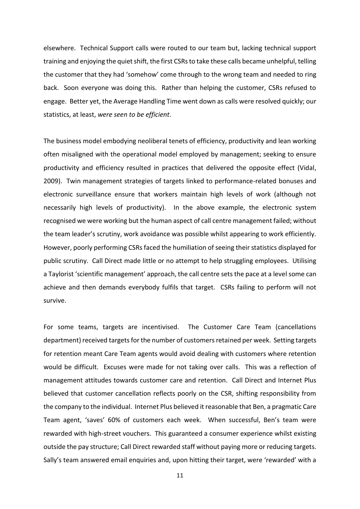elsewhere. Technical Support calls were routed to our team but, lacking technical support training and enjoying the quiet shift, the first CSRs to take these calls became unhelpful, telling the customer that they had 'somehow' come through to the wrong team and needed to ring back. Soon everyone was doing this. Rather than helping the customer, CSRs refused to engage. Better yet, the Average Handling Time went down as calls were resolved quickly; our statistics, at least, *were seen to be efficient*.

The business model embodying neoliberal tenets of efficiency, productivity and lean working often misaligned with the operational model employed by management; seeking to ensure productivity and efficiency resulted in practices that delivered the opposite effect (Vidal, 2009). Twin management strategies of targets linked to performance-related bonuses and electronic surveillance ensure that workers maintain high levels of work (although not necessarily high levels of productivity). In the above example, the electronic system recognised we were working but the human aspect of call centre management failed; without the team leader's scrutiny, work avoidance was possible whilst appearing to work efficiently. However, poorly performing CSRs faced the humiliation of seeing their statistics displayed for public scrutiny. Call Direct made little or no attempt to help struggling employees. Utilising a Taylorist 'scientific management' approach, the call centre sets the pace at a level some can achieve and then demands everybody fulfils that target. CSRs failing to perform will not survive.

For some teams, targets are incentivised. The Customer Care Team (cancellations department) received targets for the number of customers retained per week. Setting targets for retention meant Care Team agents would avoid dealing with customers where retention would be difficult. Excuses were made for not taking over calls. This was a reflection of management attitudes towards customer care and retention. Call Direct and Internet Plus believed that customer cancellation reflects poorly on the CSR, shifting responsibility from the company to the individual. Internet Plus believed it reasonable that Ben, a pragmatic Care Team agent, 'saves' 60% of customers each week. When successful, Ben's team were rewarded with high-street vouchers. This guaranteed a consumer experience whilst existing outside the pay structure; Call Direct rewarded staff without paying more or reducing targets. Sally's team answered email enquiries and, upon hitting their target, were 'rewarded' with a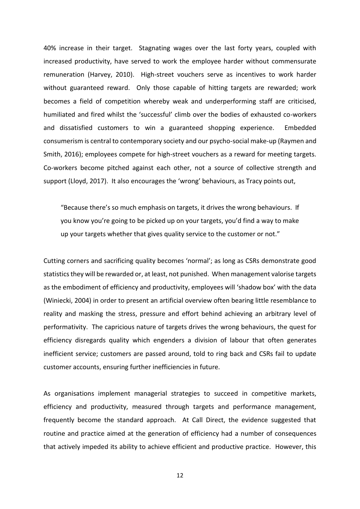40% increase in their target. Stagnating wages over the last forty years, coupled with increased productivity, have served to work the employee harder without commensurate remuneration (Harvey, 2010). High-street vouchers serve as incentives to work harder without guaranteed reward. Only those capable of hitting targets are rewarded; work becomes a field of competition whereby weak and underperforming staff are criticised, humiliated and fired whilst the 'successful' climb over the bodies of exhausted co-workers and dissatisfied customers to win a guaranteed shopping experience. Embedded consumerism is central to contemporary society and our psycho-social make-up (Raymen and Smith, 2016); employees compete for high-street vouchers as a reward for meeting targets. Co-workers become pitched against each other, not a source of collective strength and support (Lloyd, 2017). It also encourages the 'wrong' behaviours, as Tracy points out,

"Because there's so much emphasis on targets, it drives the wrong behaviours. If you know you're going to be picked up on your targets, you'd find a way to make up your targets whether that gives quality service to the customer or not."

Cutting corners and sacrificing quality becomes 'normal'; as long as CSRs demonstrate good statistics they will be rewarded or, at least, not punished. When management valorise targets as the embodiment of efficiency and productivity, employees will 'shadow box' with the data (Winiecki, 2004) in order to present an artificial overview often bearing little resemblance to reality and masking the stress, pressure and effort behind achieving an arbitrary level of performativity. The capricious nature of targets drives the wrong behaviours, the quest for efficiency disregards quality which engenders a division of labour that often generates inefficient service; customers are passed around, told to ring back and CSRs fail to update customer accounts, ensuring further inefficiencies in future.

As organisations implement managerial strategies to succeed in competitive markets, efficiency and productivity, measured through targets and performance management, frequently become the standard approach. At Call Direct, the evidence suggested that routine and practice aimed at the generation of efficiency had a number of consequences that actively impeded its ability to achieve efficient and productive practice. However, this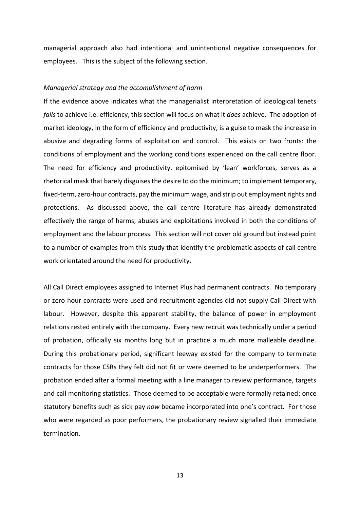managerial approach also had intentional and unintentional negative consequences for employees. This is the subject of the following section.

#### *Managerial strategy and the accomplishment of harm*

If the evidence above indicates what the managerialist interpretation of ideological tenets *fails* to achieve i.e. efficiency, this section will focus on what it *does* achieve. The adoption of market ideology, in the form of efficiency and productivity, is a guise to mask the increase in abusive and degrading forms of exploitation and control. This exists on two fronts: the conditions of employment and the working conditions experienced on the call centre floor. The need for efficiency and productivity, epitomised by 'lean' workforces, serves as a rhetorical mask that barely disguises the desire to do the minimum; to implement temporary, fixed-term, zero-hour contracts, pay the minimum wage, and strip out employment rights and protections. As discussed above, the call centre literature has already demonstrated effectively the range of harms, abuses and exploitations involved in both the conditions of employment and the labour process. This section will not cover old ground but instead point to a number of examples from this study that identify the problematic aspects of call centre work orientated around the need for productivity.

All Call Direct employees assigned to Internet Plus had permanent contracts. No temporary or zero-hour contracts were used and recruitment agencies did not supply Call Direct with labour. However, despite this apparent stability, the balance of power in employment relations rested entirely with the company. Every new recruit was technically under a period of probation, officially six months long but in practice a much more malleable deadline. During this probationary period, significant leeway existed for the company to terminate contracts for those CSRs they felt did not fit or were deemed to be underperformers. The probation ended after a formal meeting with a line manager to review performance, targets and call monitoring statistics. Those deemed to be acceptable were formally retained; once statutory benefits such as sick pay *now* became incorporated into one's contract. For those who were regarded as poor performers, the probationary review signalled their immediate termination.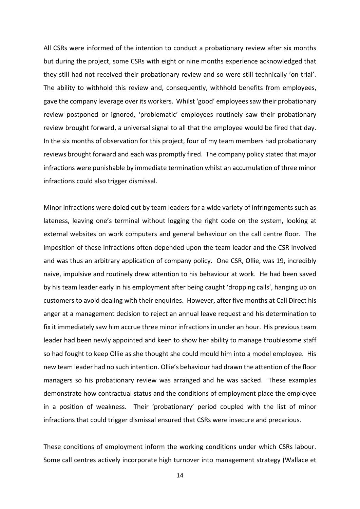All CSRs were informed of the intention to conduct a probationary review after six months but during the project, some CSRs with eight or nine months experience acknowledged that they still had not received their probationary review and so were still technically 'on trial'. The ability to withhold this review and, consequently, withhold benefits from employees, gave the company leverage over its workers. Whilst 'good' employees saw their probationary review postponed or ignored, 'problematic' employees routinely saw their probationary review brought forward, a universal signal to all that the employee would be fired that day. In the six months of observation for this project, four of my team members had probationary reviews brought forward and each was promptly fired. The company policy stated that major infractions were punishable by immediate termination whilst an accumulation of three minor infractions could also trigger dismissal.

Minor infractions were doled out by team leaders for a wide variety of infringements such as lateness, leaving one's terminal without logging the right code on the system, looking at external websites on work computers and general behaviour on the call centre floor. The imposition of these infractions often depended upon the team leader and the CSR involved and was thus an arbitrary application of company policy. One CSR, Ollie, was 19, incredibly naive, impulsive and routinely drew attention to his behaviour at work. He had been saved by his team leader early in his employment after being caught 'dropping calls', hanging up on customers to avoid dealing with their enquiries. However, after five months at Call Direct his anger at a management decision to reject an annual leave request and his determination to fix it immediately saw him accrue three minor infractions in under an hour. His previous team leader had been newly appointed and keen to show her ability to manage troublesome staff so had fought to keep Ollie as she thought she could mould him into a model employee. His new team leader had no such intention. Ollie's behaviour had drawn the attention of the floor managers so his probationary review was arranged and he was sacked. These examples demonstrate how contractual status and the conditions of employment place the employee in a position of weakness. Their 'probationary' period coupled with the list of minor infractions that could trigger dismissal ensured that CSRs were insecure and precarious.

These conditions of employment inform the working conditions under which CSRs labour. Some call centres actively incorporate high turnover into management strategy (Wallace et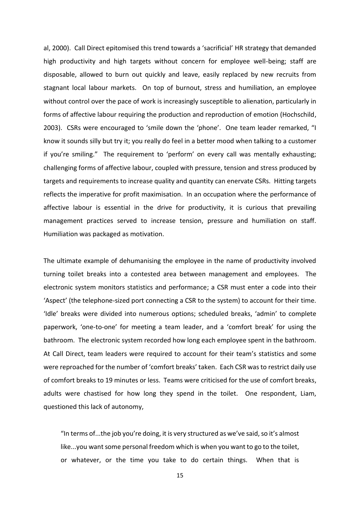al, 2000). Call Direct epitomised this trend towards a 'sacrificial' HR strategy that demanded high productivity and high targets without concern for employee well-being; staff are disposable, allowed to burn out quickly and leave, easily replaced by new recruits from stagnant local labour markets. On top of burnout, stress and humiliation, an employee without control over the pace of work is increasingly susceptible to alienation, particularly in forms of affective labour requiring the production and reproduction of emotion (Hochschild, 2003). CSRs were encouraged to 'smile down the 'phone'. One team leader remarked, "I know it sounds silly but try it; you really do feel in a better mood when talking to a customer if you're smiling." The requirement to 'perform' on every call was mentally exhausting; challenging forms of affective labour, coupled with pressure, tension and stress produced by targets and requirements to increase quality and quantity can enervate CSRs. Hitting targets reflects the imperative for profit maximisation. In an occupation where the performance of affective labour is essential in the drive for productivity, it is curious that prevailing management practices served to increase tension, pressure and humiliation on staff. Humiliation was packaged as motivation.

The ultimate example of dehumanising the employee in the name of productivity involved turning toilet breaks into a contested area between management and employees. The electronic system monitors statistics and performance; a CSR must enter a code into their 'Aspect' (the telephone-sized port connecting a CSR to the system) to account for their time. 'Idle' breaks were divided into numerous options; scheduled breaks, 'admin' to complete paperwork, 'one-to-one' for meeting a team leader, and a 'comfort break' for using the bathroom. The electronic system recorded how long each employee spent in the bathroom. At Call Direct, team leaders were required to account for their team's statistics and some were reproached for the number of 'comfort breaks' taken. Each CSR was to restrict daily use of comfort breaks to 19 minutes or less. Teams were criticised for the use of comfort breaks, adults were chastised for how long they spend in the toilet. One respondent, Liam, questioned this lack of autonomy,

"In terms of...the job you're doing, it is very structured as we've said, so it's almost like...you want some personal freedom which is when you want to go to the toilet, or whatever, or the time you take to do certain things. When that is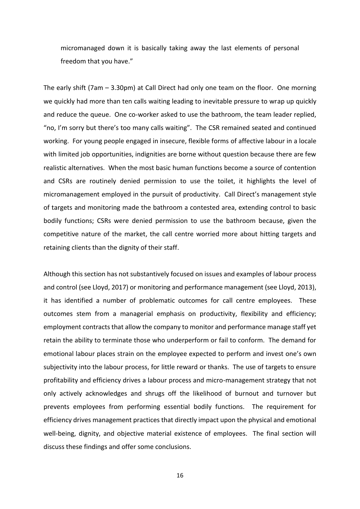micromanaged down it is basically taking away the last elements of personal freedom that you have."

The early shift ( $7am - 3.30pm$ ) at Call Direct had only one team on the floor. One morning we quickly had more than ten calls waiting leading to inevitable pressure to wrap up quickly and reduce the queue. One co-worker asked to use the bathroom, the team leader replied, "no, I'm sorry but there's too many calls waiting". The CSR remained seated and continued working. For young people engaged in insecure, flexible forms of affective labour in a locale with limited job opportunities, indignities are borne without question because there are few realistic alternatives. When the most basic human functions become a source of contention and CSRs are routinely denied permission to use the toilet, it highlights the level of micromanagement employed in the pursuit of productivity. Call Direct's management style of targets and monitoring made the bathroom a contested area, extending control to basic bodily functions; CSRs were denied permission to use the bathroom because, given the competitive nature of the market, the call centre worried more about hitting targets and retaining clients than the dignity of their staff.

Although this section has not substantively focused on issues and examples of labour process and control (see Lloyd, 2017) or monitoring and performance management (see Lloyd, 2013), it has identified a number of problematic outcomes for call centre employees. These outcomes stem from a managerial emphasis on productivity, flexibility and efficiency; employment contracts that allow the company to monitor and performance manage staff yet retain the ability to terminate those who underperform or fail to conform. The demand for emotional labour places strain on the employee expected to perform and invest one's own subjectivity into the labour process, for little reward or thanks. The use of targets to ensure profitability and efficiency drives a labour process and micro-management strategy that not only actively acknowledges and shrugs off the likelihood of burnout and turnover but prevents employees from performing essential bodily functions. The requirement for efficiency drives management practices that directly impact upon the physical and emotional well-being, dignity, and objective material existence of employees. The final section will discuss these findings and offer some conclusions.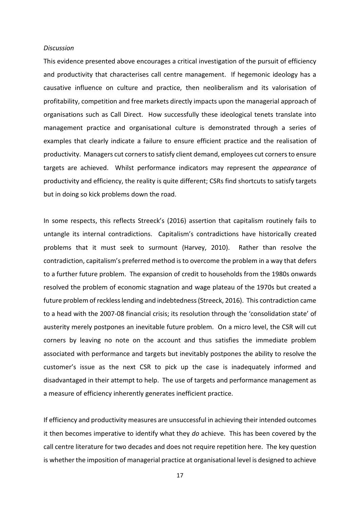#### *Discussion*

This evidence presented above encourages a critical investigation of the pursuit of efficiency and productivity that characterises call centre management. If hegemonic ideology has a causative influence on culture and practice, then neoliberalism and its valorisation of profitability, competition and free markets directly impacts upon the managerial approach of organisations such as Call Direct. How successfully these ideological tenets translate into management practice and organisational culture is demonstrated through a series of examples that clearly indicate a failure to ensure efficient practice and the realisation of productivity. Managers cut corners to satisfy client demand, employees cut corners to ensure targets are achieved. Whilst performance indicators may represent the *appearance* of productivity and efficiency, the reality is quite different; CSRs find shortcuts to satisfy targets but in doing so kick problems down the road.

In some respects, this reflects Streeck's (2016) assertion that capitalism routinely fails to untangle its internal contradictions. Capitalism's contradictions have historically created problems that it must seek to surmount (Harvey, 2010). Rather than resolve the contradiction, capitalism's preferred method is to overcome the problem in a way that defers to a further future problem. The expansion of credit to households from the 1980s onwards resolved the problem of economic stagnation and wage plateau of the 1970s but created a future problem of reckless lending and indebtedness (Streeck, 2016). This contradiction came to a head with the 2007-08 financial crisis; its resolution through the 'consolidation state' of austerity merely postpones an inevitable future problem. On a micro level, the CSR will cut corners by leaving no note on the account and thus satisfies the immediate problem associated with performance and targets but inevitably postpones the ability to resolve the customer's issue as the next CSR to pick up the case is inadequately informed and disadvantaged in their attempt to help. The use of targets and performance management as a measure of efficiency inherently generates inefficient practice.

If efficiency and productivity measures are unsuccessful in achieving their intended outcomes it then becomes imperative to identify what they *do* achieve. This has been covered by the call centre literature for two decades and does not require repetition here. The key question is whether the imposition of managerial practice at organisational level is designed to achieve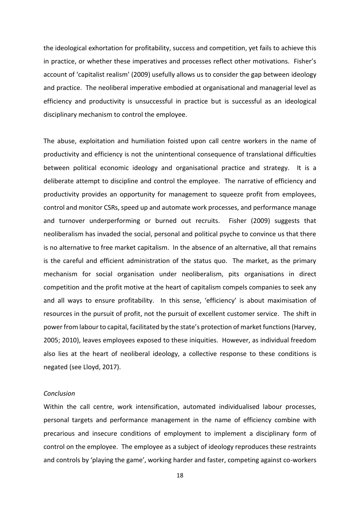the ideological exhortation for profitability, success and competition, yet fails to achieve this in practice, or whether these imperatives and processes reflect other motivations. Fisher's account of 'capitalist realism' (2009) usefully allows us to consider the gap between ideology and practice. The neoliberal imperative embodied at organisational and managerial level as efficiency and productivity is unsuccessful in practice but is successful as an ideological disciplinary mechanism to control the employee.

The abuse, exploitation and humiliation foisted upon call centre workers in the name of productivity and efficiency is not the unintentional consequence of translational difficulties between political economic ideology and organisational practice and strategy. It is a deliberate attempt to discipline and control the employee. The narrative of efficiency and productivity provides an opportunity for management to squeeze profit from employees, control and monitor CSRs, speed up and automate work processes, and performance manage and turnover underperforming or burned out recruits. Fisher (2009) suggests that neoliberalism has invaded the social, personal and political psyche to convince us that there is no alternative to free market capitalism. In the absence of an alternative, all that remains is the careful and efficient administration of the status quo. The market, as the primary mechanism for social organisation under neoliberalism, pits organisations in direct competition and the profit motive at the heart of capitalism compels companies to seek any and all ways to ensure profitability. In this sense, 'efficiency' is about maximisation of resources in the pursuit of profit, not the pursuit of excellent customer service. The shift in power from labour to capital, facilitated by the state's protection of market functions (Harvey, 2005; 2010), leaves employees exposed to these iniquities. However, as individual freedom also lies at the heart of neoliberal ideology, a collective response to these conditions is negated (see Lloyd, 2017).

## *Conclusion*

Within the call centre, work intensification, automated individualised labour processes, personal targets and performance management in the name of efficiency combine with precarious and insecure conditions of employment to implement a disciplinary form of control on the employee. The employee as a subject of ideology reproduces these restraints and controls by 'playing the game', working harder and faster, competing against co-workers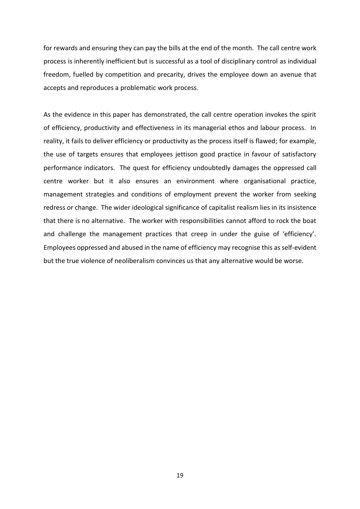for rewards and ensuring they can pay the bills at the end of the month. The call centre work process is inherently inefficient but is successful as a tool of disciplinary control as individual freedom, fuelled by competition and precarity, drives the employee down an avenue that accepts and reproduces a problematic work process.

As the evidence in this paper has demonstrated, the call centre operation invokes the spirit of efficiency, productivity and effectiveness in its managerial ethos and labour process. In reality, it fails to deliver efficiency or productivity as the process itself is flawed; for example, the use of targets ensures that employees jettison good practice in favour of satisfactory performance indicators. The quest for efficiency undoubtedly damages the oppressed call centre worker but it also ensures an environment where organisational practice, management strategies and conditions of employment prevent the worker from seeking redress or change. The wider ideological significance of capitalist realism lies in its insistence that there is no alternative. The worker with responsibilities cannot afford to rock the boat and challenge the management practices that creep in under the guise of 'efficiency'. Employees oppressed and abused in the name of efficiency may recognise this as self-evident but the true violence of neoliberalism convinces us that any alternative would be worse.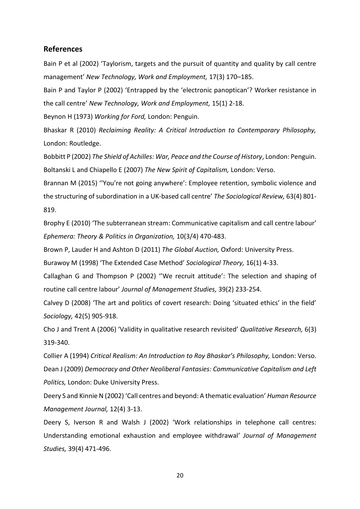# **References**

Bain P et al (2002) 'Taylorism, targets and the pursuit of quantity and quality by call centre management' *New Technology, Work and Employment,* 17(3) 170–185.

Bain P and Taylor P (2002) 'Entrapped by the 'electronic panoptican'? Worker resistance in the call centre' *New Technology, Work and Employment,* 15(1) 2-18.

Beynon H (1973) *Working for Ford,* London: Penguin.

Bhaskar R (2010) *Reclaiming Reality: A Critical Introduction to Contemporary Philosophy,* London: Routledge.

Bobbitt P (2002) *The Shield of Achilles: War, Peace and the Course of History*, London: Penguin. Boltanski L and Chiapello E (2007) *The New Spirit of Capitalism,* London: Verso.

Brannan M (2015) ''You're not going anywhere': Employee retention, symbolic violence and the structuring of subordination in a UK-based call centre' *The Sociological Review,* 63(4) 801- 819.

Brophy E (2010) 'The subterranean stream: Communicative capitalism and call centre labour' *Ephemera: Theory & Politics in Organization,* 10(3/4) 470-483.

Brown P, Lauder H and Ashton D (2011) *The Global Auction,* Oxford: University Press.

Burawoy M (1998) 'The Extended Case Method' *Sociological Theory,* 16(1) 4-33.

Callaghan G and Thompson P (2002) ''We recruit attitude': The selection and shaping of routine call centre labour' *Journal of Management Studies,* 39(2) 233-254.

Calvey D (2008) 'The art and politics of covert research: Doing 'situated ethics' in the field' *Sociology,* 42(5) 905-918.

Cho J and Trent A (2006) 'Validity in qualitative research revisited' *Qualitative Research,* 6(3) 319-340.

Collier A (1994) *Critical Realism: An Introduction to Roy Bhaskar's Philosophy,* London: Verso. Dean J (2009) *Democracy and Other Neoliberal Fantasies: Communicative Capitalism and Left Politics,* London: Duke University Press.

Deery S and Kinnie N (2002) 'Call centres and beyond: A thematic evaluation' *Human Resource Management Journal,* 12(4) 3-13.

Deery S, Iverson R and Walsh J (2002) 'Work relationships in telephone call centres: Understanding emotional exhaustion and employee withdrawal' *Journal of Management Studies,* 39(4) 471-496.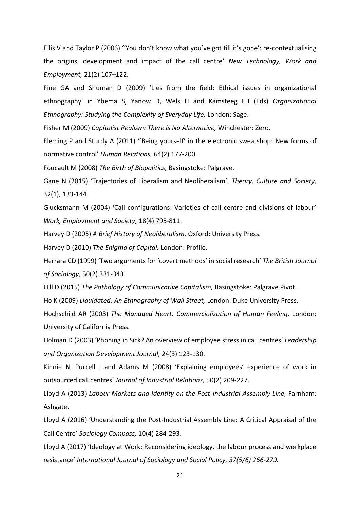Ellis V and Taylor P (2006) ''You don't know what you've got till it's gone': re-contextualising the origins, development and impact of the call centre' *New Technology, Work and Employment,* 21(2) 107–122.

Fine GA and Shuman D (2009) 'Lies from the field: Ethical issues in organizational ethnography' in Ybema S, Yanow D, Wels H and Kamsteeg FH (Eds) *Organizational Ethnography: Studying the Complexity of Everyday Life,* London: Sage.

Fisher M (2009) *Capitalist Realism: There is No Alternative,* Winchester: Zero.

Fleming P and Sturdy A (2011) ''Being yourself' in the electronic sweatshop: New forms of normative control' *Human Relations,* 64(2) 177-200.

Foucault M (2008) *The Birth of Biopolitics,* Basingstoke: Palgrave.

Gane N (2015) 'Trajectories of Liberalism and Neoliberalism', *Theory, Culture and Society,* 32(1), 133-144.

Glucksmann M (2004) 'Call configurations: Varieties of call centre and divisions of labour' *Work, Employment and Society,* 18(4) 795-811.

Harvey D (2005) *A Brief History of Neoliberalism,* Oxford: University Press.

Harvey D (2010) *The Enigma of Capital,* London: Profile.

Herrara CD (1999) 'Two arguments for 'covert methods' in social research' *The British Journal of Sociology,* 50(2) 331-343.

Hill D (2015) *The Pathology of Communicative Capitalism,* Basingstoke: Palgrave Pivot.

Ho K (2009) *Liquidated: An Ethnography of Wall Street,* London: Duke University Press.

Hochschild AR (2003) *The Managed Heart: Commercialization of Human Feeling,* London: University of California Press.

Holman D (2003) 'Phoning in Sick? An overview of employee stress in call centres' *Leadership and Organization Development Journal,* 24(3) 123-130.

Kinnie N, Purcell J and Adams M (2008) 'Explaining employees' experience of work in outsourced call centres' *Journal of Industrial Relations,* 50(2) 209-227.

Lloyd A (2013) *Labour Markets and Identity on the Post-Industrial Assembly Line,* Farnham: Ashgate.

Lloyd A (2016) 'Understanding the Post-Industrial Assembly Line: A Critical Appraisal of the Call Centre' *Sociology Compass,* 10(4) 284-293.

Lloyd A (2017) 'Ideology at Work: Reconsidering ideology, the labour process and workplace resistance' *International Journal of Sociology and Social Policy, 37(5/6) 266-279.*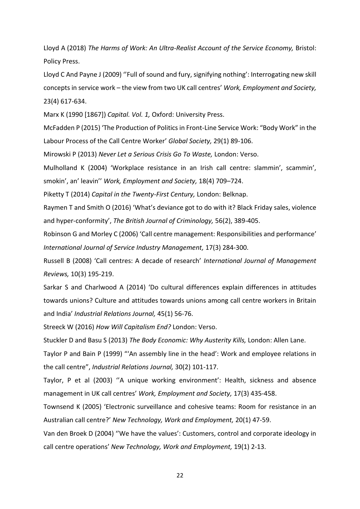Lloyd A (2018) *The Harms of Work: An Ultra-Realist Account of the Service Economy,* Bristol: Policy Press.

Lloyd C And Payne J (2009) ''Full of sound and fury, signifying nothing': Interrogating new skill concepts in service work – the view from two UK call centres' *Work, Employment and Society,* 23(4) 617-634.

Marx K (1990 [1867]) *Capital. Vol. 1,* Oxford: University Press.

McFadden P (2015) 'The Production of Politics in Front-Line Service Work: "Body Work" in the Labour Process of the Call Centre Worker' *Global Society,* 29(1) 89-106.

Mirowski P (2013) *Never Let a Serious Crisis Go To Waste,* London: Verso.

Mulholland K (2004) 'Workplace resistance in an Irish call centre: slammin', scammin', smokin', an' leavin'' *Work, Employment and Society,* 18(4) 709–724.

Piketty T (2014) *Capital in the Twenty-First Century,* London: Belknap.

Raymen T and Smith O (2016) 'What's deviance got to do with it? Black Friday sales, violence and hyper-conformity', *The British Journal of Criminology,* 56(2), 389-405.

Robinson G and Morley C (2006) 'Call centre management: Responsibilities and performance' *International Journal of Service Industry Management,* 17(3) 284-300.

Russell B (2008) 'Call centres: A decade of research' *International Journal of Management Reviews,* 10(3) 195-219.

Sarkar S and Charlwood A (2014) 'Do cultural differences explain differences in attitudes towards unions? Culture and attitudes towards unions among call centre workers in Britain and India' *Industrial Relations Journal,* 45(1) 56-76.

Streeck W (2016) *How Will Capitalism End?* London: Verso.

Stuckler D and Basu S (2013) *The Body Economic: Why Austerity Kills,* London: Allen Lane.

Taylor P and Bain P (1999) "'An assembly line in the head': Work and employee relations in the call centre", *Industrial Relations Journal,* 30(2) 101-117.

Taylor, P et al (2003) ''A unique working environment': Health, sickness and absence management in UK call centres' *Work, Employment and Society,* 17(3) 435-458.

Townsend K (2005) 'Electronic surveillance and cohesive teams: Room for resistance in an Australian call centre?' *New Technology, Work and Employment,* 20(1) 47-59.

Van den Broek D (2004) ''We have the values': Customers, control and corporate ideology in call centre operations' *New Technology, Work and Employment,* 19(1) 2-13.